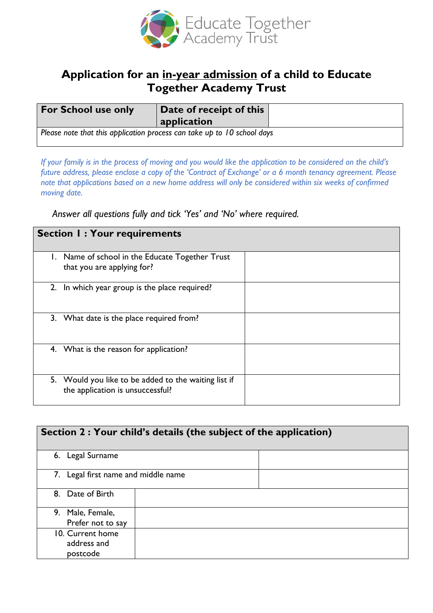

## **Application for an in-year admission of a child to Educate Together Academy Trust**

| <b>For School use only</b>                                              | Date of receipt of this<br>application |  |
|-------------------------------------------------------------------------|----------------------------------------|--|
| Please note that this application process can take up to 10 school days |                                        |  |

*If your family is in the process of moving and you would like the application to be considered on the child's future address, please enclose a copy of the 'Contract of Exchange' or a 6 month tenancy agreement. Please note that applications based on a new home address will only be considered within six weeks of confirmed moving date.* 

*Answer all questions fully and tick 'Yes' and 'No' where required.*

| <b>Section I: Your requirements</b>                                                      |  |
|------------------------------------------------------------------------------------------|--|
| 1. Name of school in the Educate Together Trust<br>that you are applying for?            |  |
| 2. In which year group is the place required?                                            |  |
| 3. What date is the place required from?                                                 |  |
| 4. What is the reason for application?                                                   |  |
| 5. Would you like to be added to the waiting list if<br>the application is unsuccessful? |  |

| Section 2 : Your child's details (the subject of the application) |  |  |
|-------------------------------------------------------------------|--|--|
| 6. Legal Surname                                                  |  |  |
| 7. Legal first name and middle name                               |  |  |
| 8. Date of Birth                                                  |  |  |
| 9. Male, Female,                                                  |  |  |
| Prefer not to say                                                 |  |  |
| 10. Current home                                                  |  |  |
| address and                                                       |  |  |
| postcode                                                          |  |  |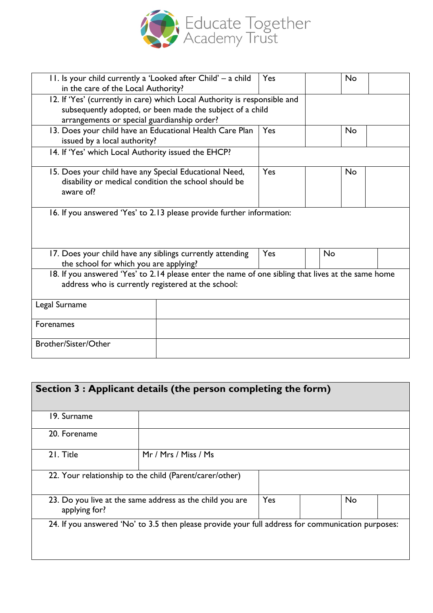

| 11. Is your child currently a 'Looked after Child' - a child<br>in the care of the Local Authority?                                                                                   | Yes | <b>No</b> |
|---------------------------------------------------------------------------------------------------------------------------------------------------------------------------------------|-----|-----------|
| 12. If 'Yes' (currently in care) which Local Authority is responsible and<br>subsequently adopted, or been made the subject of a child<br>arrangements or special guardianship order? |     |           |
| 13. Does your child have an Educational Health Care Plan<br>issued by a local authority?                                                                                              | Yes | <b>No</b> |
| 14. If 'Yes' which Local Authority issued the EHCP?                                                                                                                                   |     |           |
| 15. Does your child have any Special Educational Need,<br>disability or medical condition the school should be<br>aware of?                                                           | Yes | <b>No</b> |
| 16. If you answered 'Yes' to 2.13 please provide further information:                                                                                                                 |     |           |
| 17. Does your child have any siblings currently attending<br>the school for which you are applying?                                                                                   | Yes | <b>No</b> |
| 18. If you answered 'Yes' to 2.14 please enter the name of one sibling that lives at the same home<br>address who is currently registered at the school:                              |     |           |
| Legal Surname                                                                                                                                                                         |     |           |
| <b>Forenames</b>                                                                                                                                                                      |     |           |
| Brother/Sister/Other                                                                                                                                                                  |     |           |

| Section 3 : Applicant details (the person completing the form)            |                                                                                                   |     |           |
|---------------------------------------------------------------------------|---------------------------------------------------------------------------------------------------|-----|-----------|
| 19. Surname                                                               |                                                                                                   |     |           |
| 20. Forename                                                              |                                                                                                   |     |           |
| 21. Title                                                                 | Mr / Mrs / Miss / Ms                                                                              |     |           |
|                                                                           | 22. Your relationship to the child (Parent/carer/other)                                           |     |           |
| 23. Do you live at the same address as the child you are<br>applying for? |                                                                                                   | Yes | <b>No</b> |
|                                                                           | 24. If you answered 'No' to 3.5 then please provide your full address for communication purposes: |     |           |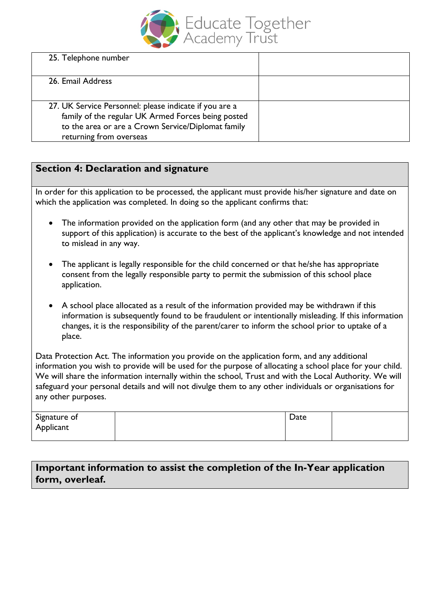

| 25. Telephone number                                                                                                                                                                          |  |
|-----------------------------------------------------------------------------------------------------------------------------------------------------------------------------------------------|--|
| 26. Email Address                                                                                                                                                                             |  |
| 27. UK Service Personnel: please indicate if you are a<br>family of the regular UK Armed Forces being posted<br>to the area or are a Crown Service/Diplomat family<br>returning from overseas |  |

## **Section 4: Declaration and signature**

In order for this application to be processed, the applicant must provide his/her signature and date on which the application was completed. In doing so the applicant confirms that:

- The information provided on the application form (and any other that may be provided in support of this application) is accurate to the best of the applicant's knowledge and not intended to mislead in any way.
- The applicant is legally responsible for the child concerned or that he/she has appropriate consent from the legally responsible party to permit the submission of this school place application.
- A school place allocated as a result of the information provided may be withdrawn if this information is subsequently found to be fraudulent or intentionally misleading. If this information changes, it is the responsibility of the parent/carer to inform the school prior to uptake of a place.

Data Protection Act. The information you provide on the application form, and any additional information you wish to provide will be used for the purpose of allocating a school place for your child. We will share the information internally within the school, Trust and with the Local Authority. We will safeguard your personal details and will not divulge them to any other individuals or organisations for any other purposes.

| Signature of | Date |  |
|--------------|------|--|
| Applicant    |      |  |
|              |      |  |

## **Important information to assist the completion of the In-Year application form, overleaf.**